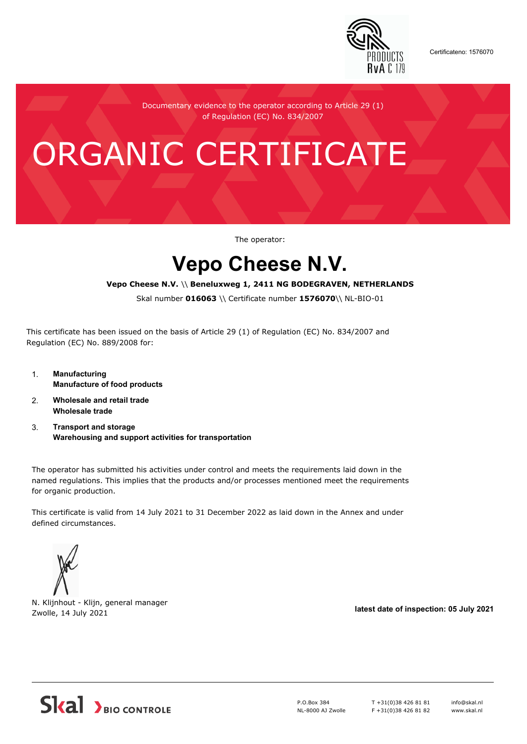

Certificateno: 1576070

Documentary evidence to the operator according to Article 29 (1) of Regulation (EC) No. 834/2007

# ORGANIC CERTIFICATE

The operator:

## **Vepo Cheese N.V.**

#### **Vepo Cheese N.V.** \\ **Beneluxweg 1, 2411 NG BODEGRAVEN, NETHERLANDS**

Skal number **016063** \\ Certificate number **1576070**\\ NL-BIO-01

This certificate has been issued on the basis of Article 29 (1) of Regulation (EC) No. 834/2007 and Regulation (EC) No. 889/2008 for:

- 1. **Manufacturing Manufacture of food products**
- 2. **Wholesale and retail trade Wholesale trade**
- 3. **Transport and storage Warehousing and support activities for transportation**

The operator has submitted his activities under control and meets the requirements laid down in the named regulations. This implies that the products and/or processes mentioned meet the requirements for organic production.

This certificate is valid from 14 July 2021 to 31 December 2022 as laid down in the Annex and under defined circumstances.



N. Klijnhout - Klijn, general manager Zwolle, 14 July 2021 **latest date of inspection: 05 July 2021**



P.O.Box 384 NL-8000 AJ Zwolle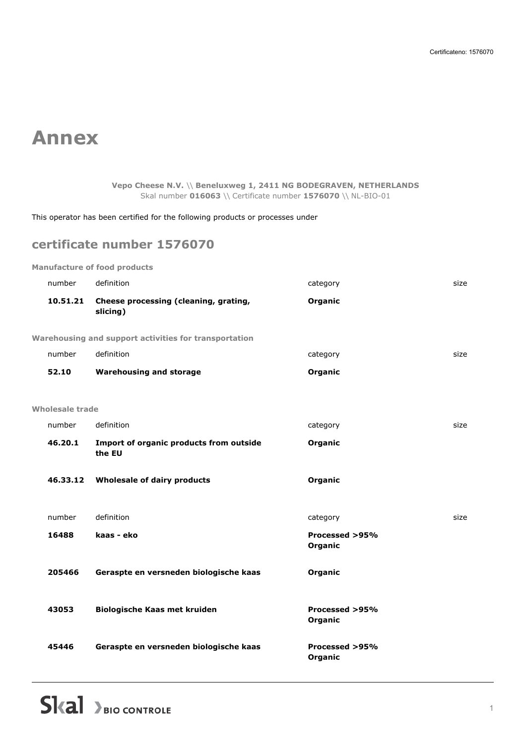## **Annex**

**Vepo Cheese N.V.** \\ **Beneluxweg 1, 2411 NG BODEGRAVEN, NETHERLANDS** Skal number **016063** \\ Certificate number **1576070** \\ NL-BIO-01

This operator has been certified for the following products or processes under

### **certificate number 1576070**

| number                 | definition                                            | category                  | size |
|------------------------|-------------------------------------------------------|---------------------------|------|
| 10.51.21               | Cheese processing (cleaning, grating,<br>slicing)     | Organic                   |      |
|                        | Warehousing and support activities for transportation |                           |      |
| number                 | definition                                            | category                  | size |
| 52.10                  | <b>Warehousing and storage</b>                        | Organic                   |      |
| <b>Wholesale trade</b> |                                                       |                           |      |
| number                 | definition                                            | category                  | size |
| 46.20.1                | Import of organic products from outside<br>the EU     | Organic                   |      |
| 46.33.12               | <b>Wholesale of dairy products</b>                    | Organic                   |      |
| number                 | definition                                            | category                  | size |
| 16488                  | kaas - eko                                            | Processed >95%<br>Organic |      |
| 205466                 | Geraspte en versneden biologische kaas                | Organic                   |      |
| 43053                  | Biologische Kaas met kruiden                          | Processed >95%<br>Organic |      |
| 45446                  | Geraspte en versneden biologische kaas                | Processed >95%<br>Organic |      |